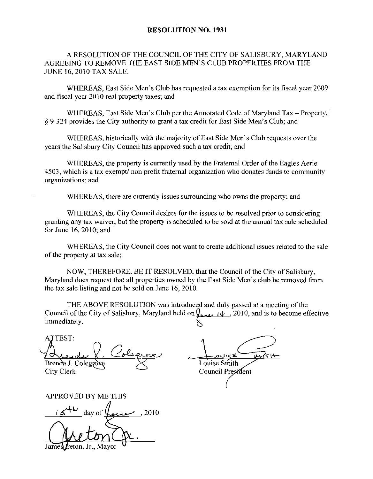## RESOLUTION NO. 1931

A RESOLUTION OF THE COUNCIL OF THE CITY OF SALISBURY, MARYLAND AGREEING TO REMOVE THE EAST SIDE MEN SCLUB PROPERTIES FROM THE JUNE 16 2010 TAX SALE

WHEREAS. East Side Men's Club has requested a tax exemption for its fiscal year 2009 and fiscal year 2010 real property taxes; and WHEREAS, East Side Men's Club has requested a tax exemption for its fiscal year 2009<br>al year 2010 real property taxes; and<br>WHEREAS, East Side Men's Club per the Annotated Code of Maryland Tax – Property,<br>Lorovides the City

 $§$  9-324 provides the City authority to grant a tax credit for East Side Men's Club; and WHEREAS, East Side Men's Club per the Annotated Code of Maryland Tax – Prope<br>provides the City authority to grant a tax credit for East Side Men's Club; and<br>WHEREAS, historically with the majority of East Side Men's Club r

years the Salisbury City Council has approved such a tax credit; and

WHEREAS, the property is currently used by the Fraternal Order of the Eagles Aerie 4503, which is a tax exempt non profit fraternal organization who donates funds to community organizations; and

WHEREAS, there are currently issues surrounding who owns the property; and

WHEREAS, the City Council desires for the issues to be resolved prior to considering granting any tax waiver, but the property is scheduled to be sold at the annual tax sale scheduled for June  $16$ ,  $2010$ ; and

WHEREAS the City Council does not want to create additional issues related to the sale of the property at tax sale

NOW, THEREFORE, BE IT RESOLVED, that the Council of the City of Salisbury, Maryland does request that all properties owned by the East Side Men's club be removed from the tax sale listing and not be sold on June  $16$ ,  $2010$ .

THE ABOVE RESOLUTION was introduced and duly passed at a meeting of the Council of the City of Salisbury, Maryland held on  $\sqrt{\mu_{\text{max}} \mu_{\text{max}}}$ , 2010, and is to become effective immediately.

ATTEST: Brenda J. Colegrove  $\times$  Louise Smith

≤ي≀ر City Clerk Council President

APPROVED BY ME THIS<br> $\frac{1544}{100}$  day of  $\frac{1}{100}$ , 2010 Freton, Jr., Mayor